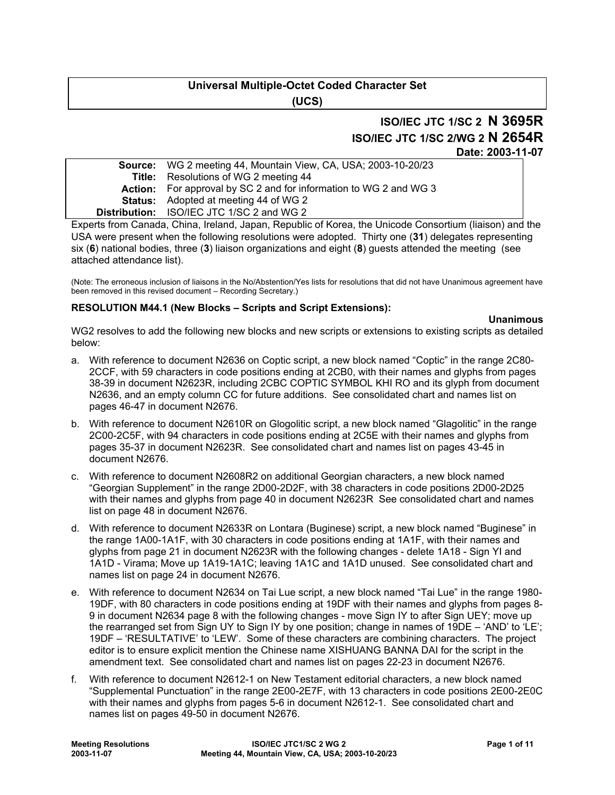# **Universal Multiple-Octet Coded Character Set (UCS)**

# **ISO/IEC JTC 1/SC 2 N 3695R ISO/IEC JTC 1/SC 2/WG 2 N 2654R**

**Date: 2003-11-07** 

| <b>Source:</b> WG 2 meeting 44, Mountain View, CA, USA; 2003-10-20/23    |
|--------------------------------------------------------------------------|
| <b>Title:</b> Resolutions of WG 2 meeting 44                             |
| <b>Action:</b> For approval by SC 2 and for information to WG 2 and WG 3 |
| <b>Status:</b> Adopted at meeting 44 of WG 2                             |
| <b>Distribution:</b> ISO/IEC JTC 1/SC 2 and WG 2                         |
|                                                                          |

Experts from Canada, China, Ireland, Japan, Republic of Korea, the Unicode Consortium (liaison) and the USA were present when the following resolutions were adopted. Thirty one (**31**) delegates representing six (**6**) national bodies, three (**3**) liaison organizations and eight (**8**) guests attended the meeting (see attached attendance list).

(Note: The erroneous inclusion of liaisons in the No/Abstention/Yes lists for resolutions that did not have Unanimous agreement have been removed in this revised document – Recording Secretary.)

## **RESOLUTION M44.1 (New Blocks – Scripts and Script Extensions):**

### **Unanimous**

WG2 resolves to add the following new blocks and new scripts or extensions to existing scripts as detailed below:

- a. With reference to document N2636 on Coptic script, a new block named "Coptic" in the range 2C80- 2CCF, with 59 characters in code positions ending at 2CB0, with their names and glyphs from pages 38-39 in document N2623R, including 2CBC COPTIC SYMBOL KHI RO and its glyph from document N2636, and an empty column CC for future additions. See consolidated chart and names list on pages 46-47 in document N2676.
- b. With reference to document N2610R on Glogolitic script, a new block named "Glagolitic" in the range 2C00-2C5F, with 94 characters in code positions ending at 2C5E with their names and glyphs from pages 35-37 in document N2623R. See consolidated chart and names list on pages 43-45 in document N2676.
- c. With reference to document N2608R2 on additional Georgian characters, a new block named "Georgian Supplement" in the range 2D00-2D2F, with 38 characters in code positions 2D00-2D25 with their names and glyphs from page 40 in document N2623R See consolidated chart and names list on page 48 in document N2676.
- d. With reference to document N2633R on Lontara (Buginese) script, a new block named "Buginese" in the range 1A00-1A1F, with 30 characters in code positions ending at 1A1F, with their names and glyphs from page 21 in document N2623R with the following changes - delete 1A18 - Sign YI and 1A1D - Virama; Move up 1A19-1A1C; leaving 1A1C and 1A1D unused. See consolidated chart and names list on page 24 in document N2676.
- e. With reference to document N2634 on Tai Lue script, a new block named "Tai Lue" in the range 1980- 19DF, with 80 characters in code positions ending at 19DF with their names and glyphs from pages 8- 9 in document N2634 page 8 with the following changes - move Sign IY to after Sign UEY; move up the rearranged set from Sign UY to Sign IY by one position; change in names of 19DE – 'AND' to 'LE'; 19DF – 'RESULTATIVE' to 'LEW'. Some of these characters are combining characters. The project editor is to ensure explicit mention the Chinese name XISHUANG BANNA DAI for the script in the amendment text. See consolidated chart and names list on pages 22-23 in document N2676.
- f. With reference to document N2612-1 on New Testament editorial characters, a new block named "Supplemental Punctuation" in the range 2E00-2E7F, with 13 characters in code positions 2E00-2E0C with their names and glyphs from pages 5-6 in document N2612-1. See consolidated chart and names list on pages 49-50 in document N2676.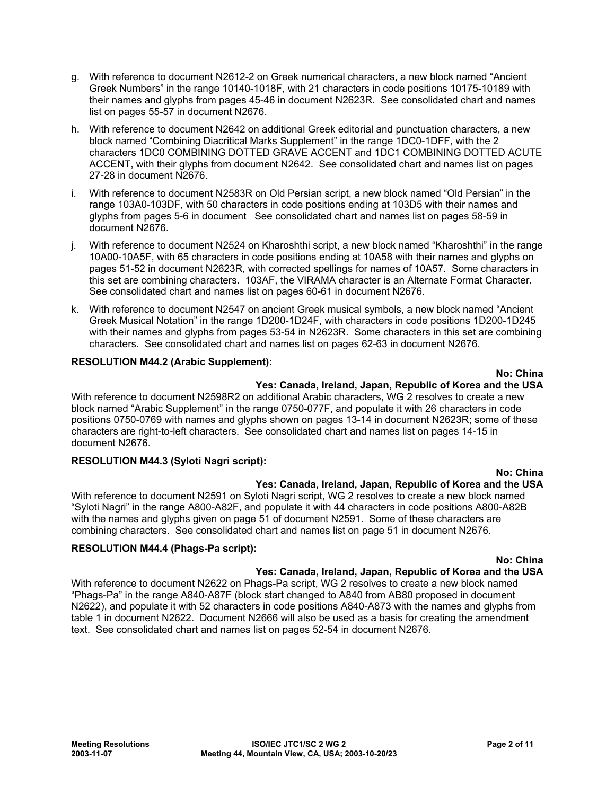- g. With reference to document N2612-2 on Greek numerical characters, a new block named "Ancient Greek Numbers" in the range 10140-1018F, with 21 characters in code positions 10175-10189 with their names and glyphs from pages 45-46 in document N2623R. See consolidated chart and names list on pages 55-57 in document N2676.
- h. With reference to document N2642 on additional Greek editorial and punctuation characters, a new block named "Combining Diacritical Marks Supplement" in the range 1DC0-1DFF, with the 2 characters 1DC0 COMBINING DOTTED GRAVE ACCENT and 1DC1 COMBINING DOTTED ACUTE ACCENT, with their glyphs from document N2642. See consolidated chart and names list on pages 27-28 in document N2676.
- i. With reference to document N2583R on Old Persian script, a new block named "Old Persian" in the range 103A0-103DF, with 50 characters in code positions ending at 103D5 with their names and glyphs from pages 5-6 in document See consolidated chart and names list on pages 58-59 in document N2676.
- j. With reference to document N2524 on Kharoshthi script, a new block named "Kharoshthi" in the range 10A00-10A5F, with 65 characters in code positions ending at 10A58 with their names and glyphs on pages 51-52 in document N2623R, with corrected spellings for names of 10A57. Some characters in this set are combining characters. 103AF, the VIRAMA character is an Alternate Format Character. See consolidated chart and names list on pages 60-61 in document N2676.
- k. With reference to document N2547 on ancient Greek musical symbols, a new block named "Ancient Greek Musical Notation" in the range 1D200-1D24F, with characters in code positions 1D200-1D245 with their names and glyphs from pages 53-54 in N2623R. Some characters in this set are combining characters. See consolidated chart and names list on pages 62-63 in document N2676.

# **RESOLUTION M44.2 (Arabic Supplement):**

### **No: China**

## **Yes: Canada, Ireland, Japan, Republic of Korea and the USA**

With reference to document N2598R2 on additional Arabic characters, WG 2 resolves to create a new block named "Arabic Supplement" in the range 0750-077F, and populate it with 26 characters in code positions 0750-0769 with names and glyphs shown on pages 13-14 in document N2623R; some of these characters are right-to-left characters. See consolidated chart and names list on pages 14-15 in document N2676.

### **RESOLUTION M44.3 (Syloti Nagri script):**

### **No: China**

# **Yes: Canada, Ireland, Japan, Republic of Korea and the USA**

With reference to document N2591 on Syloti Nagri script, WG 2 resolves to create a new block named "Syloti Nagri" in the range A800-A82F, and populate it with 44 characters in code positions A800-A82B with the names and glyphs given on page 51 of document N2591. Some of these characters are combining characters. See consolidated chart and names list on page 51 in document N2676.

### **RESOLUTION M44.4 (Phags-Pa script):**

**No: China** 

# **Yes: Canada, Ireland, Japan, Republic of Korea and the USA**

With reference to document N2622 on Phags-Pa script, WG 2 resolves to create a new block named "Phags-Pa" in the range A840-A87F (block start changed to A840 from AB80 proposed in document N2622), and populate it with 52 characters in code positions A840-A873 with the names and glyphs from table 1 in document N2622. Document N2666 will also be used as a basis for creating the amendment text. See consolidated chart and names list on pages 52-54 in document N2676.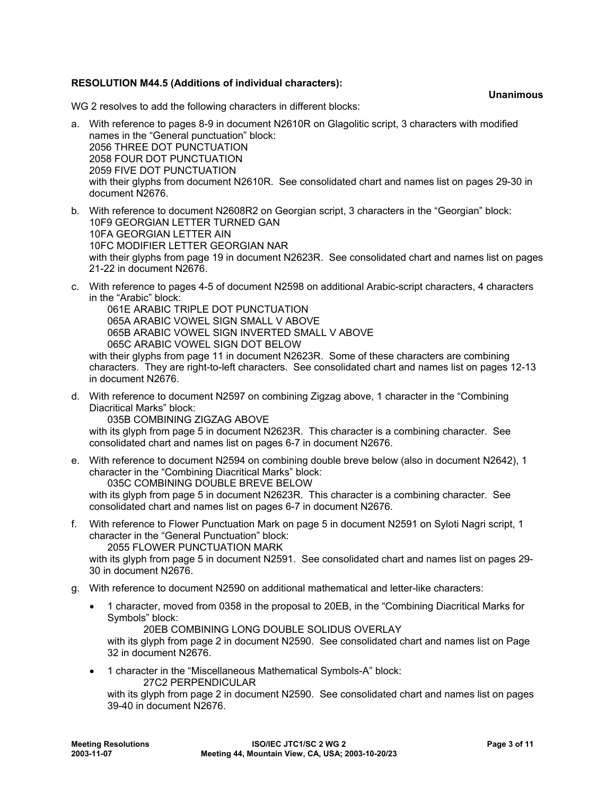# **RESOLUTION M44.5 (Additions of individual characters):**

**Unanimous** 

WG 2 resolves to add the following characters in different blocks:

- a. With reference to pages 8-9 in document N2610R on Glagolitic script, 3 characters with modified names in the "General punctuation" block: 2056 THREE DOT PUNCTUATION 2058 FOUR DOT PUNCTUATION 2059 FIVE DOT PUNCTUATION with their glyphs from document N2610R. See consolidated chart and names list on pages 29-30 in document N2676.
- b. With reference to document N2608R2 on Georgian script, 3 characters in the "Georgian" block: 10F9 GEORGIAN LETTER TURNED GAN 10FA GEORGIAN LETTER AIN 10FC MODIFIER LETTER GEORGIAN NAR with their glyphs from page 19 in document N2623R. See consolidated chart and names list on pages 21-22 in document N2676.
- c. With reference to pages 4-5 of document N2598 on additional Arabic-script characters, 4 characters in the "Arabic" block:

 061E ARABIC TRIPLE DOT PUNCTUATION 065A ARABIC VOWEL SIGN SMALL V ABOVE 065B ARABIC VOWEL SIGN INVERTED SMALL V ABOVE 065C ARABIC VOWEL SIGN DOT BELOW

with their glyphs from page 11 in document N2623R. Some of these characters are combining characters. They are right-to-left characters. See consolidated chart and names list on pages 12-13 in document N2676.

d. With reference to document N2597 on combining Zigzag above, 1 character in the "Combining Diacritical Marks" block:

035B COMBINING ZIGZAG ABOVE

with its glyph from page 5 in document N2623R. This character is a combining character. See consolidated chart and names list on pages 6-7 in document N2676.

e. With reference to document N2594 on combining double breve below (also in document N2642), 1 character in the "Combining Diacritical Marks" block: 035C COMBINING DOUBLE BREVE BELOW

with its glyph from page 5 in document N2623R. This character is a combining character. See consolidated chart and names list on pages 6-7 in document N2676.

f. With reference to Flower Punctuation Mark on page 5 in document N2591 on Syloti Nagri script, 1 character in the "General Punctuation" block:

2055 FLOWER PUNCTUATION MARK

with its glyph from page 5 in document N2591. See consolidated chart and names list on pages 29- 30 in document N2676.

- g. With reference to document N2590 on additional mathematical and letter-like characters:
	- 1 character, moved from 0358 in the proposal to 20EB, in the "Combining Diacritical Marks for Symbols" block:

20EB COMBINING LONG DOUBLE SOLIDUS OVERLAY

with its glyph from page 2 in document N2590. See consolidated chart and names list on Page 32 in document N2676.

• 1 character in the "Miscellaneous Mathematical Symbols-A" block: 27C2 PERPENDICULAR

with its glyph from page 2 in document N2590. See consolidated chart and names list on pages 39-40 in document N2676.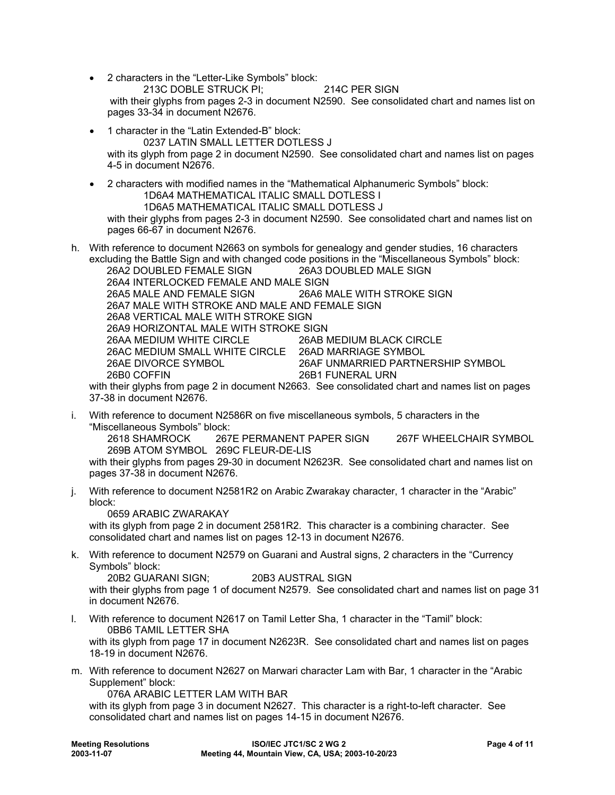- 2 characters in the "Letter-Like Symbols" block: 213C DOBLE STRUCK PI; 214C PER SIGN with their glyphs from pages 2-3 in document N2590. See consolidated chart and names list on pages 33-34 in document N2676.
- 1 character in the "Latin Extended-B" block: 0237 LATIN SMALL LETTER DOTLESS J with its glyph from page 2 in document N2590. See consolidated chart and names list on pages 4-5 in document N2676.
- 2 characters with modified names in the "Mathematical Alphanumeric Symbols" block: 1D6A4 MATHEMATICAL ITALIC SMALL DOTLESS I 1D6A5 MATHEMATICAL ITALIC SMALL DOTLESS J with their glyphs from pages 2-3 in document N2590. See consolidated chart and names list on pages 66-67 in document N2676.

h. With reference to document N2663 on symbols for genealogy and gender studies, 16 characters excluding the Battle Sign and with changed code positions in the "Miscellaneous Symbols" block: 26A2 DOUBLED FEMALE SIGN 26A3 DOUBLED MALE SIGN 26A4 INTERLOCKED FEMALE AND MALE SIGN 26A5 MALE AND FEMALE SIGN 26A6 MALE WITH STROKE SIGN 26A7 MALE WITH STROKE AND MALE AND FEMALE SIGN 26A8 VERTICAL MALE WITH STROKE SIGN 26A9 HORIZONTAL MALE WITH STROKE SIGN 26AA MEDIUM WHITE CIRCLE 26AB MEDIUM BLACK CIRCLE 26AC MEDIUM SMALL WHITE CIRCLE 26AD MARRIAGE SYMBOL 26AE DIVORCE SYMBOL 26AF UNMARRIED PARTNERSHIP SYMBOL 26B0 COFFIN 26B1 FUNERAL URN

with their glyphs from page 2 in document N2663. See consolidated chart and names list on pages 37-38 in document N2676.

i. With reference to document N2586R on five miscellaneous symbols, 5 characters in the "Miscellaneous Symbols" block:

267E PERMANENT PAPER SIGN 267F WHEELCHAIR SYMBOL 269B ATOM SYMBOL 269C FLEUR-DE-LIS

with their glyphs from pages 29-30 in document N2623R. See consolidated chart and names list on pages 37-38 in document N2676.

j. With reference to document N2581R2 on Arabic Zwarakay character, 1 character in the "Arabic" block:

0659 ARABIC ZWARAKAY

with its glyph from page 2 in document 2581R2. This character is a combining character. See consolidated chart and names list on pages 12-13 in document N2676.

k. With reference to document N2579 on Guarani and Austral signs, 2 characters in the "Currency Symbols" block:

 20B2 GUARANI SIGN; 20B3 AUSTRAL SIGN with their glyphs from page 1 of document N2579. See consolidated chart and names list on page 31 in document N2676.

l. With reference to document N2617 on Tamil Letter Sha, 1 character in the "Tamil" block: 0BB6 TAMIL LETTER SHA

with its glyph from page 17 in document N2623R. See consolidated chart and names list on pages 18-19 in document N2676.

m. With reference to document N2627 on Marwari character Lam with Bar, 1 character in the "Arabic Supplement" block:

076A ARABIC LETTER LAM WITH BAR

with its glyph from page 3 in document N2627. This character is a right-to-left character. See consolidated chart and names list on pages 14-15 in document N2676.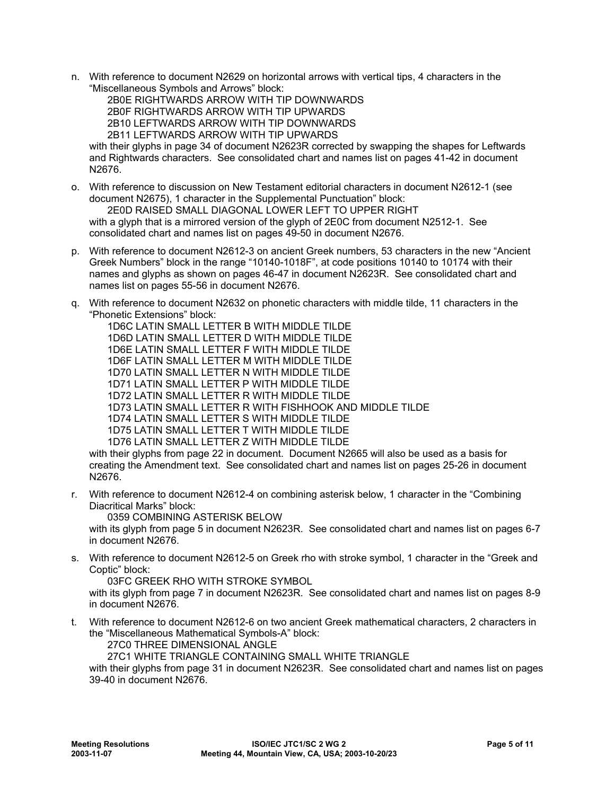n. With reference to document N2629 on horizontal arrows with vertical tips, 4 characters in the "Miscellaneous Symbols and Arrows" block:

 2B0E RIGHTWARDS ARROW WITH TIP DOWNWARDS 2B0F RIGHTWARDS ARROW WITH TIP UPWARDS 2B10 LEFTWARDS ARROW WITH TIP DOWNWARDS 2B11 LEFTWARDS ARROW WITH TIP UPWARDS

with their glyphs in page 34 of document N2623R corrected by swapping the shapes for Leftwards and Rightwards characters. See consolidated chart and names list on pages 41-42 in document N2676.

- o. With reference to discussion on New Testament editorial characters in document N2612-1 (see document N2675), 1 character in the Supplemental Punctuation" block: 2E0D RAISED SMALL DIAGONAL LOWER LEFT TO UPPER RIGHT with a glyph that is a mirrored version of the glyph of 2E0C from document N2512-1. See consolidated chart and names list on pages 49-50 in document N2676.
- p. With reference to document N2612-3 on ancient Greek numbers, 53 characters in the new "Ancient Greek Numbers" block in the range "10140-1018F", at code positions 10140 to 10174 with their names and glyphs as shown on pages 46-47 in document N2623R. See consolidated chart and names list on pages 55-56 in document N2676.
- q. With reference to document N2632 on phonetic characters with middle tilde, 11 characters in the "Phonetic Extensions" block:

 1D6C LATIN SMALL LETTER B WITH MIDDLE TILDE 1D6D LATIN SMALL LETTER D WITH MIDDLE TILDE 1D6E LATIN SMALL LETTER F WITH MIDDLE TILDE 1D6F LATIN SMALL LETTER M WITH MIDDLE TILDE 1D70 LATIN SMALL LETTER N WITH MIDDLE TILDE 1D71 LATIN SMALL LETTER P WITH MIDDLE TILDE 1D72 LATIN SMALL LETTER R WITH MIDDLE TILDE 1D73 LATIN SMALL LETTER R WITH FISHHOOK AND MIDDLE TILDE 1D74 LATIN SMALL LETTER S WITH MIDDLE TILDE 1D75 LATIN SMALL LETTER T WITH MIDDLE TILDE 1D76 LATIN SMALL LETTER Z WITH MIDDLE TILDE with their glyphs from page 22 in document. Document N2665 will also be used as a basis for

creating the Amendment text. See consolidated chart and names list on pages 25-26 in document N2676.

r. With reference to document N2612-4 on combining asterisk below, 1 character in the "Combining Diacritical Marks" block:

0359 COMBINING ASTERISK BELOW

with its glyph from page 5 in document N2623R. See consolidated chart and names list on pages 6-7 in document N2676.

s. With reference to document N2612-5 on Greek rho with stroke symbol, 1 character in the "Greek and Coptic" block:

03FC GREEK RHO WITH STROKE SYMBOL

with its glyph from page 7 in document N2623R. See consolidated chart and names list on pages 8-9 in document N2676.

t. With reference to document N2612-6 on two ancient Greek mathematical characters, 2 characters in the "Miscellaneous Mathematical Symbols-A" block:

27C0 THREE DIMENSIONAL ANGLE

27C1 WHITE TRIANGLE CONTAINING SMALL WHITE TRIANGLE

with their glyphs from page 31 in document N2623R. See consolidated chart and names list on pages 39-40 in document N2676.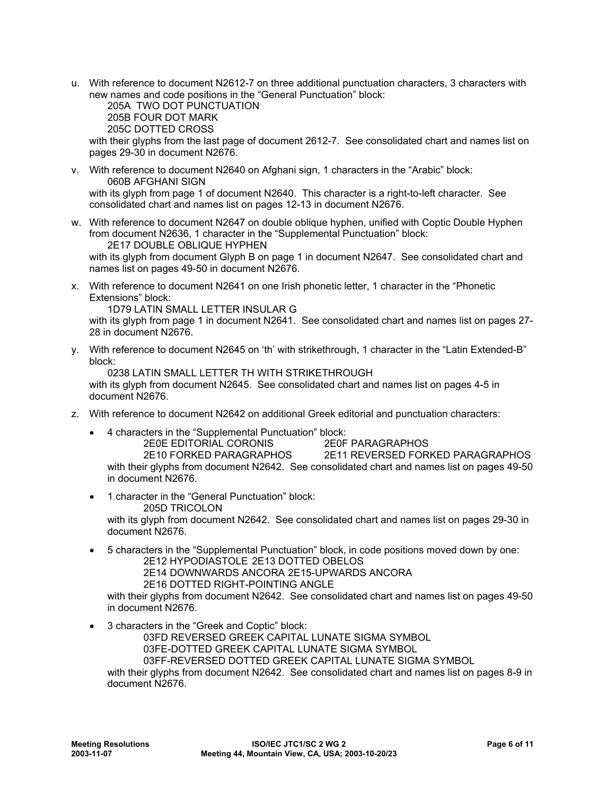u. With reference to document N2612-7 on three additional punctuation characters, 3 characters with new names and code positions in the "General Punctuation" block:

 205A TWO DOT PUNCTUATION 205B FOUR DOT MARK

205C DOTTED CROSS

with their glyphs from the last page of document 2612-7. See consolidated chart and names list on pages 29-30 in document N2676.

- v. With reference to document N2640 on Afghani sign, 1 characters in the "Arabic" block: 060B AFGHANI SIGN with its glyph from page 1 of document N2640. This character is a right-to-left character. See consolidated chart and names list on pages 12-13 in document N2676.
- w. With reference to document N2647 on double oblique hyphen, unified with Coptic Double Hyphen from document N2636, 1 character in the "Supplemental Punctuation" block: 2E17 DOUBLE OBLIQUE HYPHEN

with its glyph from document Glyph B on page 1 in document N2647. See consolidated chart and names list on pages 49-50 in document N2676.

x. With reference to document N2641 on one Irish phonetic letter, 1 character in the "Phonetic Extensions" block:

1D79 LATIN SMALL LETTER INSULAR G

with its glyph from page 1 in document N2641. See consolidated chart and names list on pages 27- 28 in document N2676.

y. With reference to document N2645 on 'th' with strikethrough, 1 character in the "Latin Extended-B" block:

 0238 LATIN SMALL LETTER TH WITH STRIKETHROUGH with its glyph from document N2645. See consolidated chart and names list on pages 4-5 in document N2676.

- z. With reference to document N2642 on additional Greek editorial and punctuation characters:
	- 4 characters in the "Supplemental Punctuation" block:
	- 2E0E EDITORIAL CORONIS 2E0F PARAGRAPHOS 2E10 FORKED PARAGRAPHOS 2E11 REVERSED FORKED PARAGRAPHOS with their glyphs from document N2642. See consolidated chart and names list on pages 49-50 in document N2676.
	- 1 character in the "General Punctuation" block: 205D TRICOLON with its glyph from document N2642. See consolidated chart and names list on pages 29-30 in document N2676.
	- 5 characters in the "Supplemental Punctuation" block, in code positions moved down by one: 2E12 HYPODIASTOLE 2E13 DOTTED OBELOS 2E14 DOWNWARDS ANCORA 2E15-UPWARDS ANCORA
		-
		- 2E16 DOTTED RIGHT-POINTING ANGLE

with their glyphs from document N2642. See consolidated chart and names list on pages 49-50 in document N2676.

• 3 characters in the "Greek and Coptic" block:

03FD REVERSED GREEK CAPITAL LUNATE SIGMA SYMBOL

03FE-DOTTED GREEK CAPITAL LUNATE SIGMA SYMBOL

03FF-REVERSED DOTTED GREEK CAPITAL LUNATE SIGMA SYMBOL

with their glyphs from document N2642. See consolidated chart and names list on pages 8-9 in document N2676.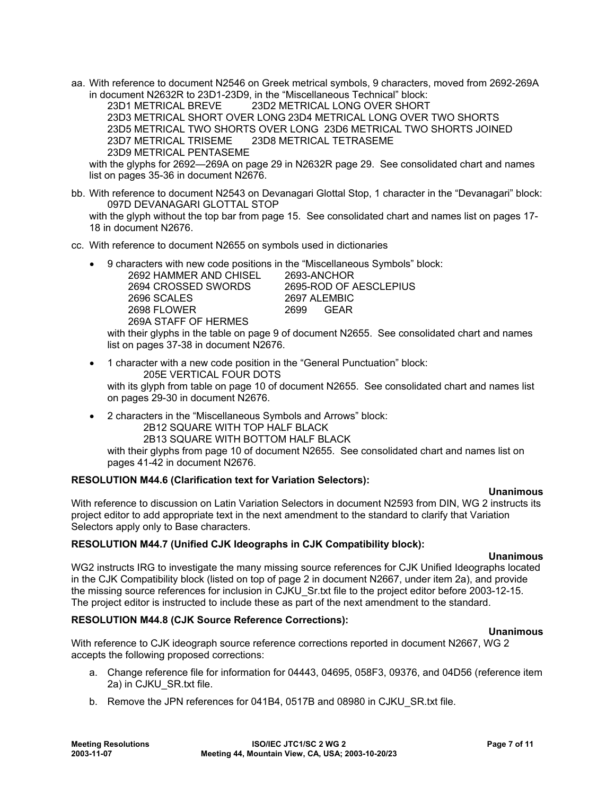aa. With reference to document N2546 on Greek metrical symbols, 9 characters, moved from 2692-269A in document N2632R to 23D1-23D9, in the "Miscellaneous Technical" block:

 23D1 METRICAL BREVE 23D2 METRICAL LONG OVER SHORT 23D3 METRICAL SHORT OVER LONG 23D4 METRICAL LONG OVER TWO SHORTS 23D5 METRICAL TWO SHORTS OVER LONG 23D6 METRICAL TWO SHORTS JOINED 23D7 METRICAL TRISEME 23D8 METRICAL TETRASEME 23D9 METRICAL PENTASEME

with the glyphs for 2692—269A on page 29 in N2632R page 29. See consolidated chart and names list on pages 35-36 in document N2676.

bb. With reference to document N2543 on Devanagari Glottal Stop, 1 character in the "Devanagari" block: 097D DEVANAGARI GLOTTAL STOP

with the glyph without the top bar from page 15. See consolidated chart and names list on pages 17- 18 in document N2676.

- cc. With reference to document N2655 on symbols used in dictionaries
	- 9 characters with new code positions in the "Miscellaneous Symbols" block: 2692 HAMMER AND CHISEL 2693-ANCHOR

| 2694 CROSSED SWORDS  | 2695-ROD OF AESCLEPIUS |
|----------------------|------------------------|
| 2696 SCALES          | 2697 ALEMBIC           |
| 2698 FLOWER          | 2699 GFAR              |
| 269A STAFF OF HERMES |                        |

with their glyphs in the table on page 9 of document N2655. See consolidated chart and names list on pages 37-38 in document N2676.

- 1 character with a new code position in the "General Punctuation" block: 205E VERTICAL FOUR DOTS with its glyph from table on page 10 of document N2655. See consolidated chart and names list on pages 29-30 in document N2676.
- 2 characters in the "Miscellaneous Symbols and Arrows" block:
	- 2B12 SQUARE WITH TOP HALF BLACK

2B13 SQUARE WITH BOTTOM HALF BLACK

with their glyphs from page 10 of document N2655. See consolidated chart and names list on pages 41-42 in document N2676.

# **RESOLUTION M44.6 (Clarification text for Variation Selectors):**

### **Unanimous**

With reference to discussion on Latin Variation Selectors in document N2593 from DIN, WG 2 instructs its project editor to add appropriate text in the next amendment to the standard to clarify that Variation Selectors apply only to Base characters.

# **RESOLUTION M44.7 (Unified CJK Ideographs in CJK Compatibility block):**

### **Unanimous**

WG2 instructs IRG to investigate the many missing source references for CJK Unified Ideographs located in the CJK Compatibility block (listed on top of page 2 in document N2667, under item 2a), and provide the missing source references for inclusion in CJKU\_Sr.txt file to the project editor before 2003-12-15. The project editor is instructed to include these as part of the next amendment to the standard.

# **RESOLUTION M44.8 (CJK Source Reference Corrections):**

# **Unanimous**

With reference to CJK ideograph source reference corrections reported in document N2667, WG 2 accepts the following proposed corrections:

- a. Change reference file for information for 04443, 04695, 058F3, 09376, and 04D56 (reference item 2a) in CJKU\_SR.txt file.
- b. Remove the JPN references for 041B4, 0517B and 08980 in CJKU\_SR.txt file.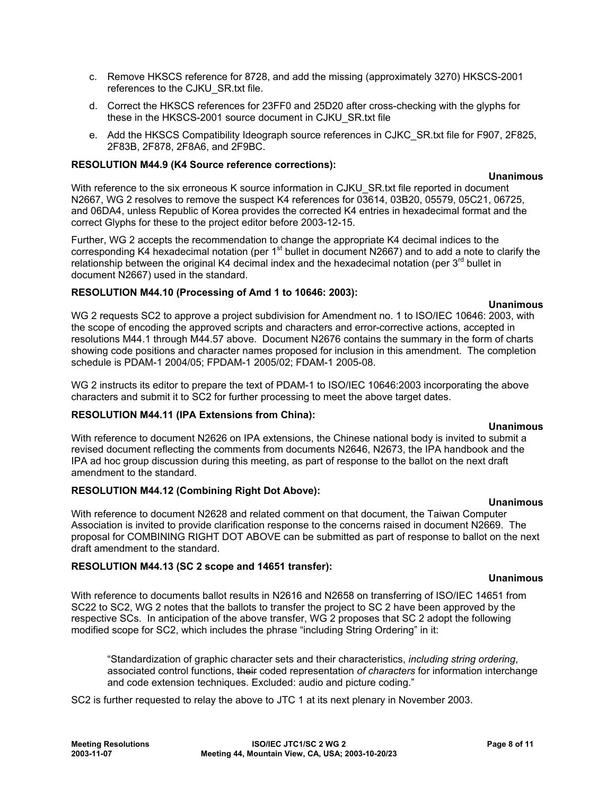**Meeting Resolutions ISO/IEC JTC1/SC 2 WG 2 Page 8 of 11 2003-11-07 Meeting 44, Mountain View, CA, USA; 2003-10-20/23**

### c. Remove HKSCS reference for 8728, and add the missing (approximately 3270) HKSCS-2001 references to the CJKU\_SR.txt file.

- d. Correct the HKSCS references for 23FF0 and 25D20 after cross-checking with the glyphs for these in the HKSCS-2001 source document in CJKU\_SR.txt file
- e. Add the HKSCS Compatibility Ideograph source references in CJKC\_SR.txt file for F907, 2F825, 2F83B, 2F878, 2F8A6, and 2F9BC.

# **RESOLUTION M44.9 (K4 Source reference corrections):**

**Unanimous**  With reference to the six erroneous K source information in CJKU\_SR.txt file reported in document N2667, WG 2 resolves to remove the suspect K4 references for 03614, 03B20, 05579, 05C21, 06725, and 06DA4, unless Republic of Korea provides the corrected K4 entries in hexadecimal format and the correct Glyphs for these to the project editor before 2003-12-15.

Further, WG 2 accepts the recommendation to change the appropriate K4 decimal indices to the corresponding K4 hexadecimal notation (per 1<sup>st</sup> bullet in document N2667) and to add a note to clarify the relationship between the original K4 decimal index and the hexadecimal notation (per  $3<sup>rd</sup>$  bullet in document N2667) used in the standard.

# **RESOLUTION M44.10 (Processing of Amd 1 to 10646: 2003):**

WG 2 requests SC2 to approve a project subdivision for Amendment no. 1 to ISO/IEC 10646: 2003, with the scope of encoding the approved scripts and characters and error-corrective actions, accepted in resolutions M44.1 through M44.57 above. Document N2676 contains the summary in the form of charts showing code positions and character names proposed for inclusion in this amendment. The completion schedule is PDAM-1 2004/05; FPDAM-1 2005/02; FDAM-1 2005-08.

WG 2 instructs its editor to prepare the text of PDAM-1 to ISO/IEC 10646:2003 incorporating the above characters and submit it to SC2 for further processing to meet the above target dates.

# **RESOLUTION M44.11 (IPA Extensions from China):**

With reference to document N2626 on IPA extensions, the Chinese national body is invited to submit a revised document reflecting the comments from documents N2646, N2673, the IPA handbook and the IPA ad hoc group discussion during this meeting, as part of response to the ballot on the next draft amendment to the standard.

# **RESOLUTION M44.12 (Combining Right Dot Above):**

With reference to document N2628 and related comment on that document, the Taiwan Computer Association is invited to provide clarification response to the concerns raised in document N2669. The proposal for COMBINING RIGHT DOT ABOVE can be submitted as part of response to ballot on the next draft amendment to the standard.

# **RESOLUTION M44.13 (SC 2 scope and 14651 transfer):**

With reference to documents ballot results in N2616 and N2658 on transferring of ISO/IEC 14651 from SC22 to SC2, WG 2 notes that the ballots to transfer the project to SC 2 have been approved by the respective SCs. In anticipation of the above transfer, WG 2 proposes that SC 2 adopt the following modified scope for SC2, which includes the phrase "including String Ordering" in it:

"Standardization of graphic character sets and their characteristics, *including string ordering*, associated control functions, their coded representation *of characters* for information interchange and code extension techniques. Excluded: audio and picture coding."

SC2 is further requested to relay the above to JTC 1 at its next plenary in November 2003.

# **Unanimous**

# **Unanimous**

**Unanimous** 

# **Unanimous**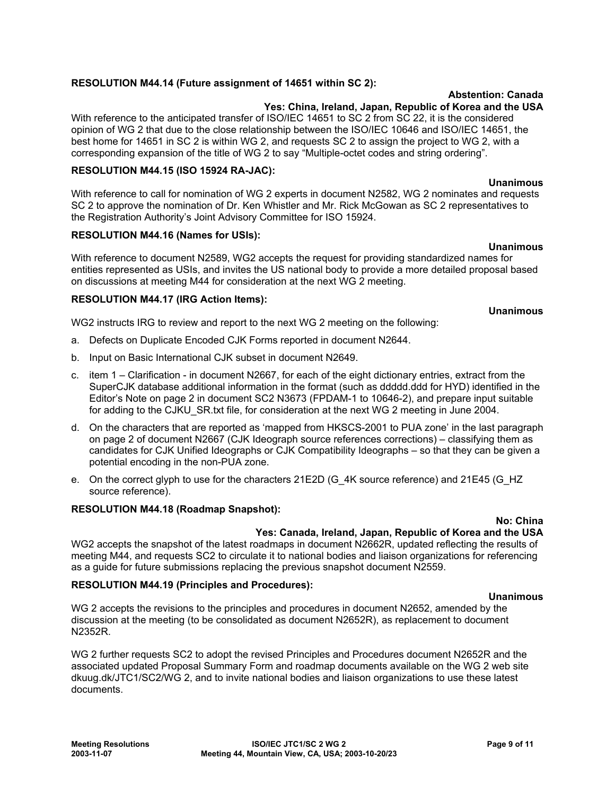# **RESOLUTION M44.14 (Future assignment of 14651 within SC 2):**

### **Abstention: Canada**

### **Yes: China, Ireland, Japan, Republic of Korea and the USA**

With reference to the anticipated transfer of ISO/IEC 14651 to SC 2 from SC 22, it is the considered opinion of WG 2 that due to the close relationship between the ISO/IEC 10646 and ISO/IEC 14651, the best home for 14651 in SC 2 is within WG 2, and requests SC 2 to assign the project to WG 2, with a corresponding expansion of the title of WG 2 to say "Multiple-octet codes and string ordering".

# **RESOLUTION M44.15 (ISO 15924 RA-JAC):**

With reference to call for nomination of WG 2 experts in document N2582, WG 2 nominates and requests SC 2 to approve the nomination of Dr. Ken Whistler and Mr. Rick McGowan as SC 2 representatives to the Registration Authority's Joint Advisory Committee for ISO 15924.

### **RESOLUTION M44.16 (Names for USIs):**

With reference to document N2589, WG2 accepts the request for providing standardized names for entities represented as USIs, and invites the US national body to provide a more detailed proposal based on discussions at meeting M44 for consideration at the next WG 2 meeting.

### **RESOLUTION M44.17 (IRG Action Items):**

WG2 instructs IRG to review and report to the next WG 2 meeting on the following:

- a. Defects on Duplicate Encoded CJK Forms reported in document N2644.
- b. Input on Basic International CJK subset in document N2649.
- c. item 1 Clarification in document N2667, for each of the eight dictionary entries, extract from the SuperCJK database additional information in the format (such as ddddd.ddd for HYD) identified in the Editor's Note on page 2 in document SC2 N3673 (FPDAM-1 to 10646-2), and prepare input suitable for adding to the CJKU\_SR.txt file, for consideration at the next WG 2 meeting in June 2004.
- d. On the characters that are reported as 'mapped from HKSCS-2001 to PUA zone' in the last paragraph on page 2 of document N2667 (CJK Ideograph source references corrections) – classifying them as candidates for CJK Unified Ideographs or CJK Compatibility Ideographs – so that they can be given a potential encoding in the non-PUA zone.
- e. On the correct glyph to use for the characters 21E2D (G\_4K source reference) and 21E45 (G\_HZ source reference).

### **RESOLUTION M44.18 (Roadmap Snapshot):**

#### **No: China Yes: Canada, Ireland, Japan, Republic of Korea and the USA**

WG2 accepts the snapshot of the latest roadmaps in document N2662R, updated reflecting the results of meeting M44, and requests SC2 to circulate it to national bodies and liaison organizations for referencing as a guide for future submissions replacing the previous snapshot document N2559.

### **RESOLUTION M44.19 (Principles and Procedures):**

### **Unanimous**

WG 2 accepts the revisions to the principles and procedures in document N2652, amended by the discussion at the meeting (to be consolidated as document N2652R), as replacement to document N2352R.

WG 2 further requests SC2 to adopt the revised Principles and Procedures document N2652R and the associated updated Proposal Summary Form and roadmap documents available on the WG 2 web site dkuug.dk/JTC1/SC2/WG 2, and to invite national bodies and liaison organizations to use these latest documents.

# **Unanimous**

**Unanimous** 

**Unanimous**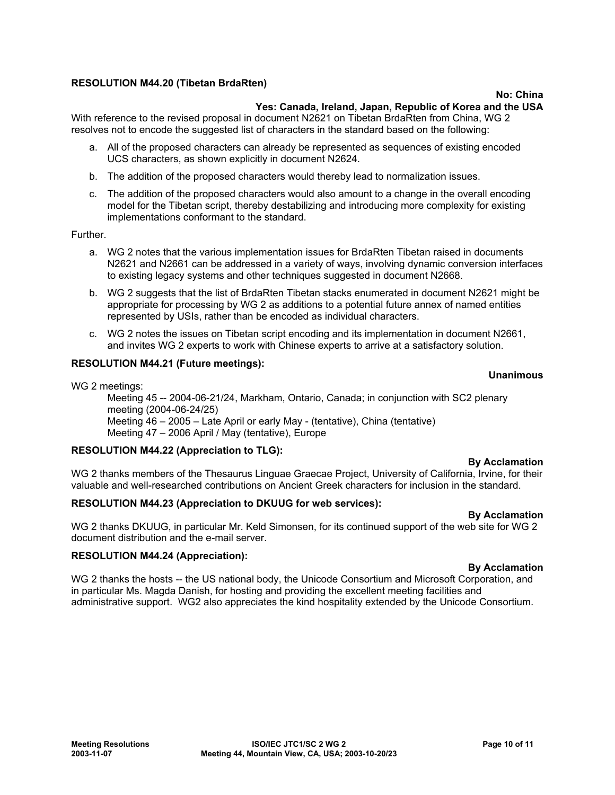# **RESOLUTION M44.20 (Tibetan BrdaRten)**

### **No: China**

### **Yes: Canada, Ireland, Japan, Republic of Korea and the USA**

With reference to the revised proposal in document N2621 on Tibetan BrdaRten from China, WG 2 resolves not to encode the suggested list of characters in the standard based on the following:

- a. All of the proposed characters can already be represented as sequences of existing encoded UCS characters, as shown explicitly in document N2624.
- b. The addition of the proposed characters would thereby lead to normalization issues.
- c. The addition of the proposed characters would also amount to a change in the overall encoding model for the Tibetan script, thereby destabilizing and introducing more complexity for existing implementations conformant to the standard.

Further.

- a. WG 2 notes that the various implementation issues for BrdaRten Tibetan raised in documents N2621 and N2661 can be addressed in a variety of ways, involving dynamic conversion interfaces to existing legacy systems and other techniques suggested in document N2668.
- b. WG 2 suggests that the list of BrdaRten Tibetan stacks enumerated in document N2621 might be appropriate for processing by WG 2 as additions to a potential future annex of named entities represented by USIs, rather than be encoded as individual characters.
- c. WG 2 notes the issues on Tibetan script encoding and its implementation in document N2661, and invites WG 2 experts to work with Chinese experts to arrive at a satisfactory solution.

### **RESOLUTION M44.21 (Future meetings):**

### **Unanimous**

WG 2 meetings:

Meeting 45 -- 2004-06-21/24, Markham, Ontario, Canada; in conjunction with SC2 plenary meeting (2004-06-24/25) Meeting 46 – 2005 – Late April or early May - (tentative), China (tentative) Meeting 47 – 2006 April / May (tentative), Europe

### **RESOLUTION M44.22 (Appreciation to TLG):**

### **By Acclamation**

WG 2 thanks members of the Thesaurus Linguae Graecae Project, University of California, Irvine, for their valuable and well-researched contributions on Ancient Greek characters for inclusion in the standard.

### **RESOLUTION M44.23 (Appreciation to DKUUG for web services):**

**By Acclamation** 

WG 2 thanks DKUUG, in particular Mr. Keld Simonsen, for its continued support of the web site for WG 2 document distribution and the e-mail server.

### **RESOLUTION M44.24 (Appreciation):**

#### **By Acclamation**

WG 2 thanks the hosts -- the US national body, the Unicode Consortium and Microsoft Corporation, and in particular Ms. Magda Danish, for hosting and providing the excellent meeting facilities and administrative support. WG2 also appreciates the kind hospitality extended by the Unicode Consortium.